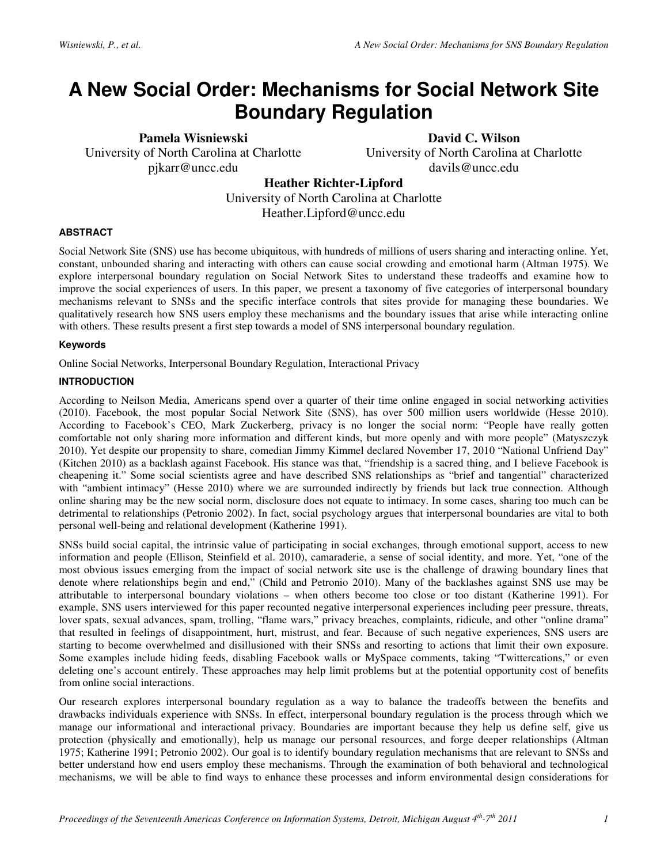# **A New Social Order: Mechanisms for Social Network Site Boundary Regulation**

**Pamela Wisniewski**  University of North Carolina at Charlotte pjkarr@uncc.edu

**David C. Wilson** 

University of North Carolina at Charlotte davils@uncc.edu

**Heather Richter-Lipford** 

University of North Carolina at Charlotte Heather.Lipford@uncc.edu

## **ABSTRACT**

Social Network Site (SNS) use has become ubiquitous, with hundreds of millions of users sharing and interacting online. Yet, constant, unbounded sharing and interacting with others can cause social crowding and emotional harm (Altman 1975). We explore interpersonal boundary regulation on Social Network Sites to understand these tradeoffs and examine how to improve the social experiences of users. In this paper, we present a taxonomy of five categories of interpersonal boundary mechanisms relevant to SNSs and the specific interface controls that sites provide for managing these boundaries. We qualitatively research how SNS users employ these mechanisms and the boundary issues that arise while interacting online with others. These results present a first step towards a model of SNS interpersonal boundary regulation.

## **Keywords**

Online Social Networks, Interpersonal Boundary Regulation, Interactional Privacy

## **INTRODUCTION**

According to Neilson Media, Americans spend over a quarter of their time online engaged in social networking activities (2010). Facebook, the most popular Social Network Site (SNS), has over 500 million users worldwide (Hesse 2010). According to Facebook's CEO, Mark Zuckerberg, privacy is no longer the social norm: "People have really gotten comfortable not only sharing more information and different kinds, but more openly and with more people" (Matyszczyk 2010). Yet despite our propensity to share, comedian Jimmy Kimmel declared November 17, 2010 "National Unfriend Day" (Kitchen 2010) as a backlash against Facebook. His stance was that, "friendship is a sacred thing, and I believe Facebook is cheapening it." Some social scientists agree and have described SNS relationships as "brief and tangential" characterized with "ambient intimacy" (Hesse 2010) where we are surrounded indirectly by friends but lack true connection. Although online sharing may be the new social norm, disclosure does not equate to intimacy. In some cases, sharing too much can be detrimental to relationships (Petronio 2002). In fact, social psychology argues that interpersonal boundaries are vital to both personal well-being and relational development (Katherine 1991).

SNSs build social capital, the intrinsic value of participating in social exchanges, through emotional support, access to new information and people (Ellison, Steinfield et al. 2010), camaraderie, a sense of social identity, and more. Yet, "one of the most obvious issues emerging from the impact of social network site use is the challenge of drawing boundary lines that denote where relationships begin and end," (Child and Petronio 2010). Many of the backlashes against SNS use may be attributable to interpersonal boundary violations – when others become too close or too distant (Katherine 1991). For example, SNS users interviewed for this paper recounted negative interpersonal experiences including peer pressure, threats, lover spats, sexual advances, spam, trolling, "flame wars," privacy breaches, complaints, ridicule, and other "online drama" that resulted in feelings of disappointment, hurt, mistrust, and fear. Because of such negative experiences, SNS users are starting to become overwhelmed and disillusioned with their SNSs and resorting to actions that limit their own exposure. Some examples include hiding feeds, disabling Facebook walls or MySpace comments, taking "Twittercations," or even deleting one's account entirely. These approaches may help limit problems but at the potential opportunity cost of benefits from online social interactions.

Our research explores interpersonal boundary regulation as a way to balance the tradeoffs between the benefits and drawbacks individuals experience with SNSs. In effect, interpersonal boundary regulation is the process through which we manage our informational and interactional privacy. Boundaries are important because they help us define self, give us protection (physically and emotionally), help us manage our personal resources, and forge deeper relationships (Altman 1975; Katherine 1991; Petronio 2002). Our goal is to identify boundary regulation mechanisms that are relevant to SNSs and better understand how end users employ these mechanisms. Through the examination of both behavioral and technological mechanisms, we will be able to find ways to enhance these processes and inform environmental design considerations for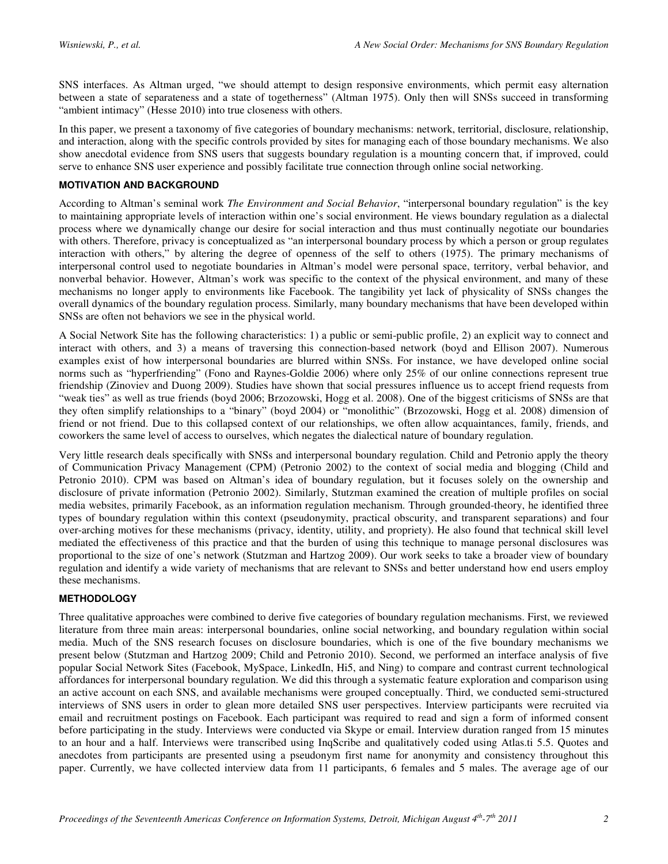SNS interfaces. As Altman urged, "we should attempt to design responsive environments, which permit easy alternation between a state of separateness and a state of togetherness" (Altman 1975). Only then will SNSs succeed in transforming "ambient intimacy" (Hesse 2010) into true closeness with others.

In this paper, we present a taxonomy of five categories of boundary mechanisms: network, territorial, disclosure, relationship, and interaction, along with the specific controls provided by sites for managing each of those boundary mechanisms. We also show anecdotal evidence from SNS users that suggests boundary regulation is a mounting concern that, if improved, could serve to enhance SNS user experience and possibly facilitate true connection through online social networking.

## **MOTIVATION AND BACKGROUND**

According to Altman's seminal work *The Environment and Social Behavior*, "interpersonal boundary regulation" is the key to maintaining appropriate levels of interaction within one's social environment. He views boundary regulation as a dialectal process where we dynamically change our desire for social interaction and thus must continually negotiate our boundaries with others. Therefore, privacy is conceptualized as "an interpersonal boundary process by which a person or group regulates interaction with others," by altering the degree of openness of the self to others (1975). The primary mechanisms of interpersonal control used to negotiate boundaries in Altman's model were personal space, territory, verbal behavior, and nonverbal behavior. However, Altman's work was specific to the context of the physical environment, and many of these mechanisms no longer apply to environments like Facebook. The tangibility yet lack of physicality of SNSs changes the overall dynamics of the boundary regulation process. Similarly, many boundary mechanisms that have been developed within SNSs are often not behaviors we see in the physical world.

A Social Network Site has the following characteristics: 1) a public or semi-public profile, 2) an explicit way to connect and interact with others, and 3) a means of traversing this connection-based network (boyd and Ellison 2007). Numerous examples exist of how interpersonal boundaries are blurred within SNSs. For instance, we have developed online social norms such as "hyperfriending" (Fono and Raynes-Goldie 2006) where only 25% of our online connections represent true friendship (Zinoviev and Duong 2009). Studies have shown that social pressures influence us to accept friend requests from "weak ties" as well as true friends (boyd 2006; Brzozowski, Hogg et al. 2008). One of the biggest criticisms of SNSs are that they often simplify relationships to a "binary" (boyd 2004) or "monolithic" (Brzozowski, Hogg et al. 2008) dimension of friend or not friend. Due to this collapsed context of our relationships, we often allow acquaintances, family, friends, and coworkers the same level of access to ourselves, which negates the dialectical nature of boundary regulation.

Very little research deals specifically with SNSs and interpersonal boundary regulation. Child and Petronio apply the theory of Communication Privacy Management (CPM) (Petronio 2002) to the context of social media and blogging (Child and Petronio 2010). CPM was based on Altman's idea of boundary regulation, but it focuses solely on the ownership and disclosure of private information (Petronio 2002). Similarly, Stutzman examined the creation of multiple profiles on social media websites, primarily Facebook, as an information regulation mechanism. Through grounded-theory, he identified three types of boundary regulation within this context (pseudonymity, practical obscurity, and transparent separations) and four over-arching motives for these mechanisms (privacy, identity, utility, and propriety). He also found that technical skill level mediated the effectiveness of this practice and that the burden of using this technique to manage personal disclosures was proportional to the size of one's network (Stutzman and Hartzog 2009). Our work seeks to take a broader view of boundary regulation and identify a wide variety of mechanisms that are relevant to SNSs and better understand how end users employ these mechanisms.

#### **METHODOLOGY**

Three qualitative approaches were combined to derive five categories of boundary regulation mechanisms. First, we reviewed literature from three main areas: interpersonal boundaries, online social networking, and boundary regulation within social media. Much of the SNS research focuses on disclosure boundaries, which is one of the five boundary mechanisms we present below (Stutzman and Hartzog 2009; Child and Petronio 2010). Second, we performed an interface analysis of five popular Social Network Sites (Facebook, MySpace, LinkedIn, Hi5, and Ning) to compare and contrast current technological affordances for interpersonal boundary regulation. We did this through a systematic feature exploration and comparison using an active account on each SNS, and available mechanisms were grouped conceptually. Third, we conducted semi-structured interviews of SNS users in order to glean more detailed SNS user perspectives. Interview participants were recruited via email and recruitment postings on Facebook. Each participant was required to read and sign a form of informed consent before participating in the study. Interviews were conducted via Skype or email. Interview duration ranged from 15 minutes to an hour and a half. Interviews were transcribed using InqScribe and qualitatively coded using Atlas.ti 5.5. Quotes and anecdotes from participants are presented using a pseudonym first name for anonymity and consistency throughout this paper. Currently, we have collected interview data from 11 participants, 6 females and 5 males. The average age of our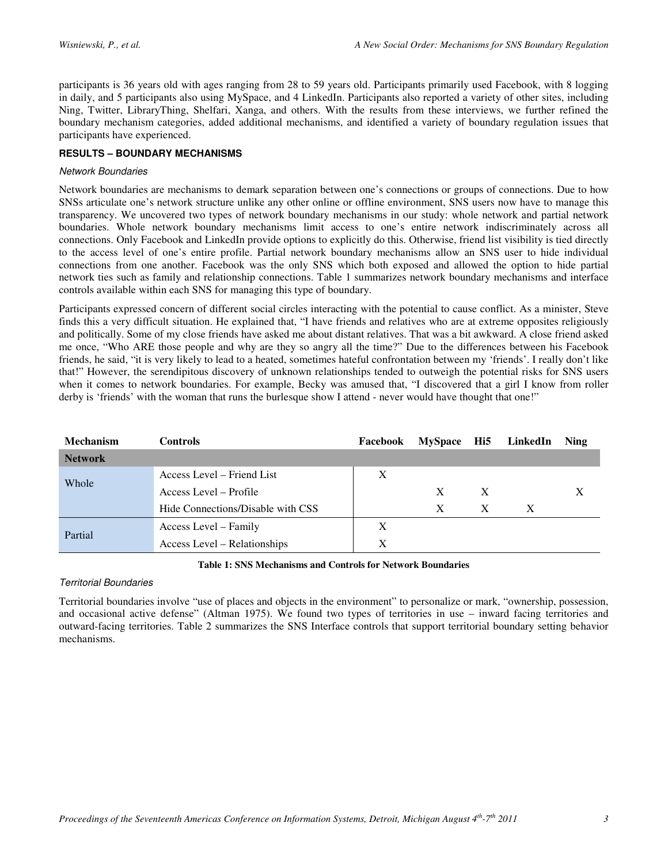participants is 36 years old with ages ranging from 28 to 59 years old. Participants primarily used Facebook, with 8 logging in daily, and 5 participants also using MySpace, and 4 LinkedIn. Participants also reported a variety of other sites, including Ning, Twitter, LibraryThing, Shelfari, Xanga, and others. With the results from these interviews, we further refined the boundary mechanism categories, added additional mechanisms, and identified a variety of boundary regulation issues that participants have experienced.

# **RESULTS – BOUNDARY MECHANISMS**

## Network Boundaries

Network boundaries are mechanisms to demark separation between one's connections or groups of connections. Due to how SNSs articulate one's network structure unlike any other online or offline environment, SNS users now have to manage this transparency. We uncovered two types of network boundary mechanisms in our study: whole network and partial network boundaries. Whole network boundary mechanisms limit access to one's entire network indiscriminately across all connections. Only Facebook and LinkedIn provide options to explicitly do this. Otherwise, friend list visibility is tied directly to the access level of one's entire profile. Partial network boundary mechanisms allow an SNS user to hide individual connections from one another. Facebook was the only SNS which both exposed and allowed the option to hide partial network ties such as family and relationship connections. Table 1 summarizes network boundary mechanisms and interface controls available within each SNS for managing this type of boundary.

Participants expressed concern of different social circles interacting with the potential to cause conflict. As a minister, Steve finds this a very difficult situation. He explained that, "I have friends and relatives who are at extreme opposites religiously and politically. Some of my close friends have asked me about distant relatives. That was a bit awkward. A close friend asked me once, "Who ARE those people and why are they so angry all the time?" Due to the differences between his Facebook friends, he said, "it is very likely to lead to a heated, sometimes hateful confrontation between my 'friends'. I really don't like that!" However, the serendipitous discovery of unknown relationships tended to outweigh the potential risks for SNS users when it comes to network boundaries. For example, Becky was amused that, "I discovered that a girl I know from roller derby is 'friends' with the woman that runs the burlesque show I attend - never would have thought that one!"

| <b>Mechanism</b> | <b>Controls</b>                   | Facebook | MySpace Hi5 |              | LinkedIn     | <b>Ning</b> |
|------------------|-----------------------------------|----------|-------------|--------------|--------------|-------------|
| <b>Network</b>   |                                   |          |             |              |              |             |
| Whole            | Access Level – Friend List        | X        |             |              |              |             |
|                  | Access Level – Profile            |          | X           | X            |              | X           |
|                  | Hide Connections/Disable with CSS |          | X           | $\mathbf{X}$ | $\mathbf{X}$ |             |
| Partial          | Access Level – Family             | X        |             |              |              |             |
|                  | Access Level – Relationships      | X        |             |              |              |             |

#### **Table 1: SNS Mechanisms and Controls for Network Boundaries**

# Territorial Boundaries

Territorial boundaries involve "use of places and objects in the environment" to personalize or mark, "ownership, possession, and occasional active defense" (Altman 1975). We found two types of territories in use – inward facing territories and outward-facing territories. Table 2 summarizes the SNS Interface controls that support territorial boundary setting behavior mechanisms.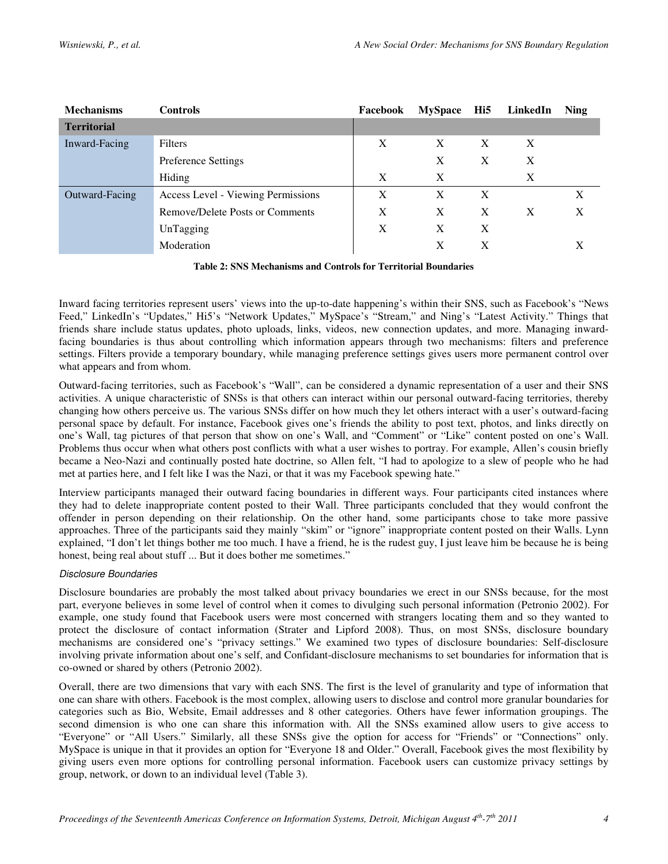| <b>Mechanisms</b>  | <b>Controls</b>                    | Facebook | <b>MySpace</b> | Hi5          | LinkedIn | <b>Ning</b> |
|--------------------|------------------------------------|----------|----------------|--------------|----------|-------------|
| <b>Territorial</b> |                                    |          |                |              |          |             |
| Inward-Facing      | Filters                            | X        | X              | X            | X        |             |
|                    | <b>Preference Settings</b>         |          | X              | X            | X        |             |
|                    | Hiding                             | X        | X              |              | X        |             |
| Outward-Facing     | Access Level - Viewing Permissions | X        | X              | X            |          | X           |
|                    | Remove/Delete Posts or Comments    | X        | X              | $\mathbf{X}$ | X        | X           |
|                    | UnTagging                          | X        | X              | X            |          |             |
|                    | Moderation                         |          | X              | X            |          |             |

**Table 2: SNS Mechanisms and Controls for Territorial Boundaries** 

Inward facing territories represent users' views into the up-to-date happening's within their SNS, such as Facebook's "News Feed," LinkedIn's "Updates," Hi5's "Network Updates," MySpace's "Stream," and Ning's "Latest Activity." Things that friends share include status updates, photo uploads, links, videos, new connection updates, and more. Managing inwardfacing boundaries is thus about controlling which information appears through two mechanisms: filters and preference settings. Filters provide a temporary boundary, while managing preference settings gives users more permanent control over what appears and from whom.

Outward-facing territories, such as Facebook's "Wall", can be considered a dynamic representation of a user and their SNS activities. A unique characteristic of SNSs is that others can interact within our personal outward-facing territories, thereby changing how others perceive us. The various SNSs differ on how much they let others interact with a user's outward-facing personal space by default. For instance, Facebook gives one's friends the ability to post text, photos, and links directly on one's Wall, tag pictures of that person that show on one's Wall, and "Comment" or "Like" content posted on one's Wall. Problems thus occur when what others post conflicts with what a user wishes to portray. For example, Allen's cousin briefly became a Neo-Nazi and continually posted hate doctrine, so Allen felt, "I had to apologize to a slew of people who he had met at parties here, and I felt like I was the Nazi, or that it was my Facebook spewing hate."

Interview participants managed their outward facing boundaries in different ways. Four participants cited instances where they had to delete inappropriate content posted to their Wall. Three participants concluded that they would confront the offender in person depending on their relationship. On the other hand, some participants chose to take more passive approaches. Three of the participants said they mainly "skim" or "ignore" inappropriate content posted on their Walls. Lynn explained, "I don't let things bother me too much. I have a friend, he is the rudest guy, I just leave him be because he is being honest, being real about stuff ... But it does bother me sometimes."

# Disclosure Boundaries

Disclosure boundaries are probably the most talked about privacy boundaries we erect in our SNSs because, for the most part, everyone believes in some level of control when it comes to divulging such personal information (Petronio 2002). For example, one study found that Facebook users were most concerned with strangers locating them and so they wanted to protect the disclosure of contact information (Strater and Lipford 2008). Thus, on most SNSs, disclosure boundary mechanisms are considered one's "privacy settings." We examined two types of disclosure boundaries: Self-disclosure involving private information about one's self, and Confidant-disclosure mechanisms to set boundaries for information that is co-owned or shared by others (Petronio 2002).

Overall, there are two dimensions that vary with each SNS. The first is the level of granularity and type of information that one can share with others. Facebook is the most complex, allowing users to disclose and control more granular boundaries for categories such as Bio, Website, Email addresses and 8 other categories. Others have fewer information groupings. The second dimension is who one can share this information with. All the SNSs examined allow users to give access to "Everyone" or "All Users." Similarly, all these SNSs give the option for access for "Friends" or "Connections" only. MySpace is unique in that it provides an option for "Everyone 18 and Older." Overall, Facebook gives the most flexibility by giving users even more options for controlling personal information. Facebook users can customize privacy settings by group, network, or down to an individual level (Table 3).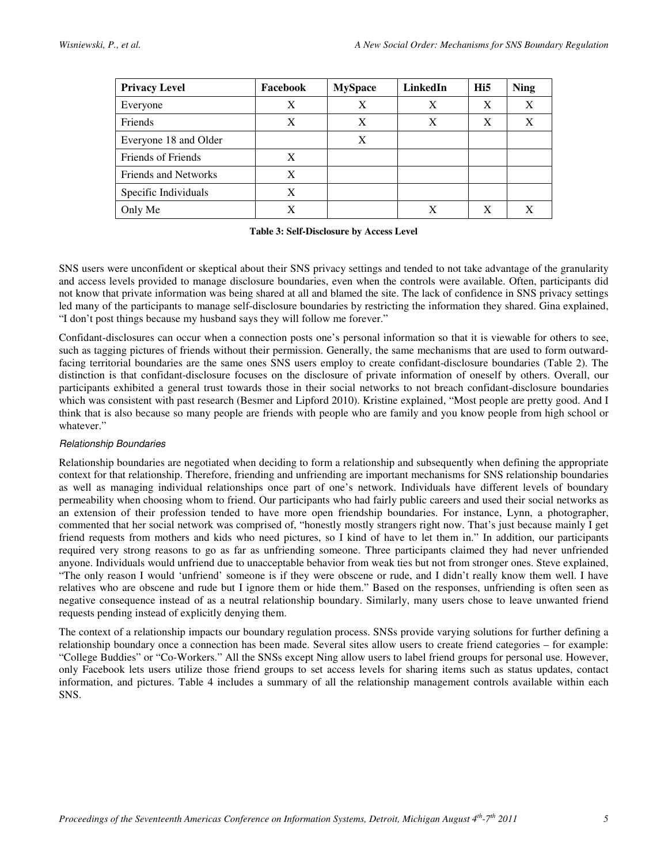| <b>Privacy Level</b>        | Facebook | <b>MySpace</b> | LinkedIn | Hi5 | <b>Ning</b> |
|-----------------------------|----------|----------------|----------|-----|-------------|
| Everyone                    | Χ        | X              | X        | X   |             |
| Friends                     | X        | X              | X        | X   | X           |
| Everyone 18 and Older       |          | X              |          |     |             |
| Friends of Friends          | X        |                |          |     |             |
| <b>Friends and Networks</b> | X        |                |          |     |             |
| Specific Individuals        | X        |                |          |     |             |
| Only Me                     | X        |                | X        | X   |             |

|  | Table 3: Self-Disclosure by Access Level |  |  |  |
|--|------------------------------------------|--|--|--|
|--|------------------------------------------|--|--|--|

SNS users were unconfident or skeptical about their SNS privacy settings and tended to not take advantage of the granularity and access levels provided to manage disclosure boundaries, even when the controls were available. Often, participants did not know that private information was being shared at all and blamed the site. The lack of confidence in SNS privacy settings led many of the participants to manage self-disclosure boundaries by restricting the information they shared. Gina explained, "I don't post things because my husband says they will follow me forever."

Confidant-disclosures can occur when a connection posts one's personal information so that it is viewable for others to see, such as tagging pictures of friends without their permission. Generally, the same mechanisms that are used to form outwardfacing territorial boundaries are the same ones SNS users employ to create confidant-disclosure boundaries (Table 2). The distinction is that confidant-disclosure focuses on the disclosure of private information of oneself by others. Overall, our participants exhibited a general trust towards those in their social networks to not breach confidant-disclosure boundaries which was consistent with past research (Besmer and Lipford 2010). Kristine explained, "Most people are pretty good. And I think that is also because so many people are friends with people who are family and you know people from high school or whatever."

# Relationship Boundaries

Relationship boundaries are negotiated when deciding to form a relationship and subsequently when defining the appropriate context for that relationship. Therefore, friending and unfriending are important mechanisms for SNS relationship boundaries as well as managing individual relationships once part of one's network. Individuals have different levels of boundary permeability when choosing whom to friend. Our participants who had fairly public careers and used their social networks as an extension of their profession tended to have more open friendship boundaries. For instance, Lynn, a photographer, commented that her social network was comprised of, "honestly mostly strangers right now. That's just because mainly I get friend requests from mothers and kids who need pictures, so I kind of have to let them in." In addition, our participants required very strong reasons to go as far as unfriending someone. Three participants claimed they had never unfriended anyone. Individuals would unfriend due to unacceptable behavior from weak ties but not from stronger ones. Steve explained, "The only reason I would 'unfriend' someone is if they were obscene or rude, and I didn't really know them well. I have relatives who are obscene and rude but I ignore them or hide them." Based on the responses, unfriending is often seen as negative consequence instead of as a neutral relationship boundary. Similarly, many users chose to leave unwanted friend requests pending instead of explicitly denying them.

The context of a relationship impacts our boundary regulation process. SNSs provide varying solutions for further defining a relationship boundary once a connection has been made. Several sites allow users to create friend categories – for example: "College Buddies" or "Co-Workers." All the SNSs except Ning allow users to label friend groups for personal use. However, only Facebook lets users utilize those friend groups to set access levels for sharing items such as status updates, contact information, and pictures. Table 4 includes a summary of all the relationship management controls available within each SNS.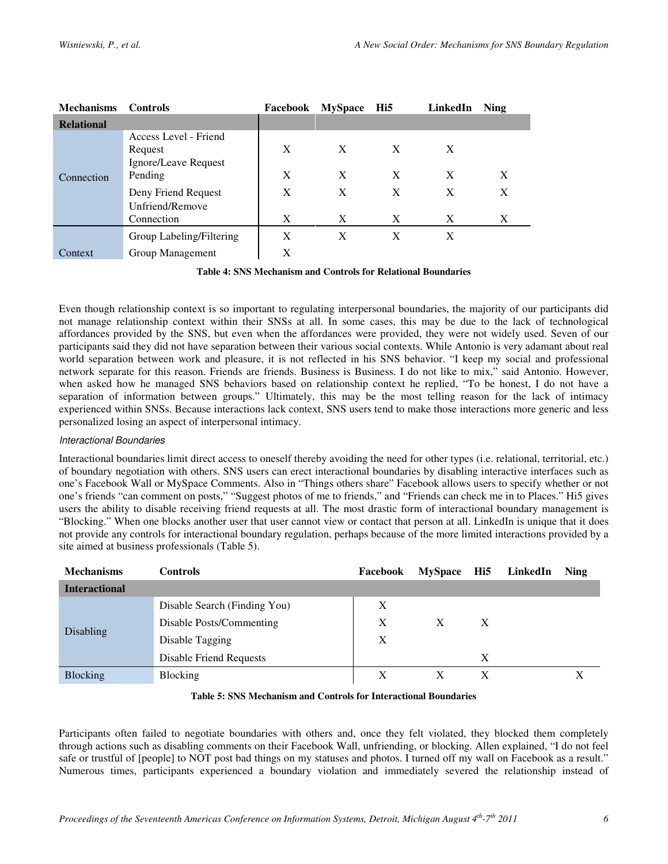| <b>Mechanisms</b> | <b>Controls</b>                                                     | Facebook | <b>MySpace</b> | Hi5    | LinkedIn | <b>Ning</b> |  |
|-------------------|---------------------------------------------------------------------|----------|----------------|--------|----------|-------------|--|
| <b>Relational</b> |                                                                     |          |                |        |          |             |  |
| Connection        | Access Level - Friend<br>Request<br>Ignore/Leave Request<br>Pending | X<br>X   | X<br>X         | X<br>X | X<br>X   | X           |  |
|                   | Deny Friend Request<br>Unfriend/Remove                              | X        | X              | X      | X        | X           |  |
|                   | Connection                                                          | X        | X              | X      | X        | X           |  |
|                   | Group Labeling/Filtering                                            | X        | X              | X      | X        |             |  |
| Context           | Group Management                                                    | X        |                |        |          |             |  |

**Table 4: SNS Mechanism and Controls for Relational Boundaries** 

Even though relationship context is so important to regulating interpersonal boundaries, the majority of our participants did not manage relationship context within their SNSs at all. In some cases, this may be due to the lack of technological affordances provided by the SNS, but even when the affordances were provided, they were not widely used. Seven of our participants said they did not have separation between their various social contexts. While Antonio is very adamant about real world separation between work and pleasure, it is not reflected in his SNS behavior. "I keep my social and professional network separate for this reason. Friends are friends. Business is Business. I do not like to mix," said Antonio. However, when asked how he managed SNS behaviors based on relationship context he replied, "To be honest, I do not have a separation of information between groups." Ultimately, this may be the most telling reason for the lack of intimacy experienced within SNSs. Because interactions lack context, SNS users tend to make those interactions more generic and less personalized losing an aspect of interpersonal intimacy.

#### Interactional Boundaries

Interactional boundaries limit direct access to oneself thereby avoiding the need for other types (i.e. relational, territorial, etc.) of boundary negotiation with others. SNS users can erect interactional boundaries by disabling interactive interfaces such as one's Facebook Wall or MySpace Comments. Also in "Things others share" Facebook allows users to specify whether or not one's friends "can comment on posts," "Suggest photos of me to friends," and "Friends can check me in to Places." Hi5 gives users the ability to disable receiving friend requests at all. The most drastic form of interactional boundary management is "Blocking." When one blocks another user that user cannot view or contact that person at all. LinkedIn is unique that it does not provide any controls for interactional boundary regulation, perhaps because of the more limited interactions provided by a site aimed at business professionals (Table 5).

| <b>Mechanisms</b>    | <b>Controls</b>                | Facebook | <b>MySpace</b> | Hi5 | LinkedIn | Ning |
|----------------------|--------------------------------|----------|----------------|-----|----------|------|
| <b>Interactional</b> |                                |          |                |     |          |      |
| <b>Disabling</b>     | Disable Search (Finding You)   | X        |                |     |          |      |
|                      | Disable Posts/Commenting       | X        | X              | X   |          |      |
|                      | Disable Tagging                | X        |                |     |          |      |
|                      | <b>Disable Friend Requests</b> |          |                | х   |          |      |
| <b>Blocking</b>      | Blocking                       | X        | X              | X   |          |      |

**Table 5: SNS Mechanism and Controls for Interactional Boundaries** 

Participants often failed to negotiate boundaries with others and, once they felt violated, they blocked them completely through actions such as disabling comments on their Facebook Wall, unfriending, or blocking. Allen explained, "I do not feel safe or trustful of [people] to NOT post bad things on my statuses and photos. I turned off my wall on Facebook as a result." Numerous times, participants experienced a boundary violation and immediately severed the relationship instead of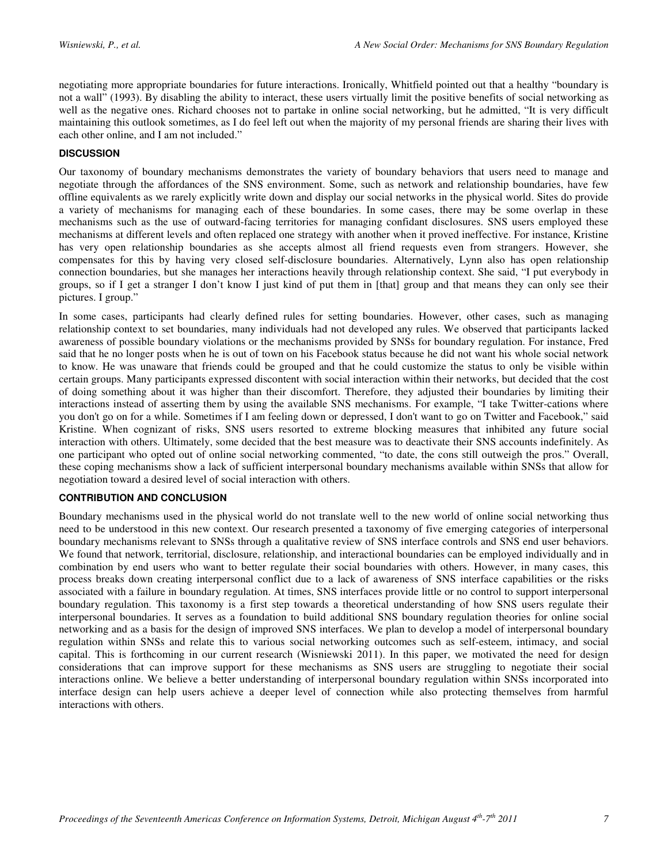negotiating more appropriate boundaries for future interactions. Ironically, Whitfield pointed out that a healthy "boundary is not a wall" (1993). By disabling the ability to interact, these users virtually limit the positive benefits of social networking as well as the negative ones. Richard chooses not to partake in online social networking, but he admitted, "It is very difficult maintaining this outlook sometimes, as I do feel left out when the majority of my personal friends are sharing their lives with each other online, and I am not included."

## **DISCUSSION**

Our taxonomy of boundary mechanisms demonstrates the variety of boundary behaviors that users need to manage and negotiate through the affordances of the SNS environment. Some, such as network and relationship boundaries, have few offline equivalents as we rarely explicitly write down and display our social networks in the physical world. Sites do provide a variety of mechanisms for managing each of these boundaries. In some cases, there may be some overlap in these mechanisms such as the use of outward-facing territories for managing confidant disclosures. SNS users employed these mechanisms at different levels and often replaced one strategy with another when it proved ineffective. For instance, Kristine has very open relationship boundaries as she accepts almost all friend requests even from strangers. However, she compensates for this by having very closed self-disclosure boundaries. Alternatively, Lynn also has open relationship connection boundaries, but she manages her interactions heavily through relationship context. She said, "I put everybody in groups, so if I get a stranger I don't know I just kind of put them in [that] group and that means they can only see their pictures. I group."

In some cases, participants had clearly defined rules for setting boundaries. However, other cases, such as managing relationship context to set boundaries, many individuals had not developed any rules. We observed that participants lacked awareness of possible boundary violations or the mechanisms provided by SNSs for boundary regulation. For instance, Fred said that he no longer posts when he is out of town on his Facebook status because he did not want his whole social network to know. He was unaware that friends could be grouped and that he could customize the status to only be visible within certain groups. Many participants expressed discontent with social interaction within their networks, but decided that the cost of doing something about it was higher than their discomfort. Therefore, they adjusted their boundaries by limiting their interactions instead of asserting them by using the available SNS mechanisms. For example, "I take Twitter-cations where you don't go on for a while. Sometimes if I am feeling down or depressed, I don't want to go on Twitter and Facebook," said Kristine. When cognizant of risks, SNS users resorted to extreme blocking measures that inhibited any future social interaction with others. Ultimately, some decided that the best measure was to deactivate their SNS accounts indefinitely. As one participant who opted out of online social networking commented, "to date, the cons still outweigh the pros." Overall, these coping mechanisms show a lack of sufficient interpersonal boundary mechanisms available within SNSs that allow for negotiation toward a desired level of social interaction with others.

#### **CONTRIBUTION AND CONCLUSION**

Boundary mechanisms used in the physical world do not translate well to the new world of online social networking thus need to be understood in this new context. Our research presented a taxonomy of five emerging categories of interpersonal boundary mechanisms relevant to SNSs through a qualitative review of SNS interface controls and SNS end user behaviors. We found that network, territorial, disclosure, relationship, and interactional boundaries can be employed individually and in combination by end users who want to better regulate their social boundaries with others. However, in many cases, this process breaks down creating interpersonal conflict due to a lack of awareness of SNS interface capabilities or the risks associated with a failure in boundary regulation. At times, SNS interfaces provide little or no control to support interpersonal boundary regulation. This taxonomy is a first step towards a theoretical understanding of how SNS users regulate their interpersonal boundaries. It serves as a foundation to build additional SNS boundary regulation theories for online social networking and as a basis for the design of improved SNS interfaces. We plan to develop a model of interpersonal boundary regulation within SNSs and relate this to various social networking outcomes such as self-esteem, intimacy, and social capital. This is forthcoming in our current research (Wisniewski 2011). In this paper, we motivated the need for design considerations that can improve support for these mechanisms as SNS users are struggling to negotiate their social interactions online. We believe a better understanding of interpersonal boundary regulation within SNSs incorporated into interface design can help users achieve a deeper level of connection while also protecting themselves from harmful interactions with others.